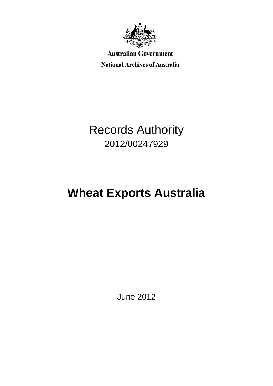

**Australian Government** 

**National Archives of Australia** 

## Records Authority 2012/00247929

# **Wheat Exports Australia**

June 2012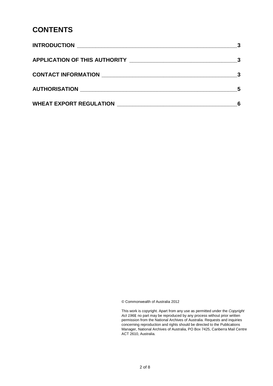#### **CONTENTS**

|                                           | $\overline{\mathbf{3}}$ |
|-------------------------------------------|-------------------------|
|                                           |                         |
|                                           | -5                      |
| WHEAT EXPORT REGULATION NUMBER OF STATES. |                         |

© Commonwealth of Australia 2012

This work is copyright. Apart from any use as permitted under the *Copyright Act 1968,* no part may be reproduced by any process without prior written permission from the National Archives of Australia. Requests and inquiries concerning reproduction and rights should be directed to the Publications Manager, National Archives of Australia, PO Box 7425, Canberra Mail Centre ACT 2610, Australia.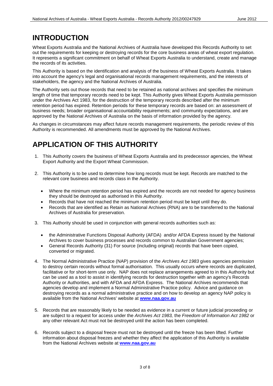#### **INTRODUCTION**

Wheat Exports Australia and the National Archives of Australia have developed this Records Authority to set out the requirements for keeping or destroying records for the core business areas of wheat export regulation. It represents a significant commitment on behalf of Wheat Exports Australia to understand, create and manage the records of its activities.

This Authority is based on the identification and analysis of the business of Wheat Exports Australia. It takes into account the agency's legal and organisational records management requirements, and the interests of stakeholders, the agency and the National Archives of Australia.

The Authority sets out those records that need to be retained as national archives and specifies the minimum length of time that temporary records need to be kept. This Authority gives Wheat Exports Australia permission under the Archives Act 1983, for the destruction of the temporary records described after the minimum retention period has expired. Retention periods for these temporary records are based on: an assessment of business needs; broader organisational accountability requirements; and community expectations, and are approved by the National Archives of Australia on the basis of information provided by the agency.

As changes in circumstances may affect future records management requirements, the periodic review of this Authority is recommended. All amendments must be approved by the National Archives.

### **APPLICATION OF THIS AUTHORITY**

- 1. This Authority covers the business of Wheat Exports Australia and its predecessor agencies, the Wheat Export Authority and the Export Wheat Commission.
- 2. This Authority is to be used to determine how long records must be kept. Records are matched to the relevant core business and records class in the Authority.
	- Where the minimum retention period has expired and the records are not needed for agency business they should be destroyed as authorised in this Authority.
	- Records that have not reached the minimum retention period must be kept until they do.
	- Records that are identified as Retain as National Archives (RNA) are to be transferred to the National Archives of Australia for preservation.
- 3. This Authority should be used in conjunction with general records authorities such as:
	- the Administrative Functions Disposal Authority (AFDA) and/or AFDA Express issued by the National Archives to cover business processes and records common to Australian Government agencies;
	- General Records Authority (31) For source (including original) records that have been copied, converted or migrated.
- 4. The Normal Administrative Practice (NAP) provision of the *Archives Act 1983* gives agencies permission to destroy certain records without formal authorisation. This usually occurs where records are duplicated, facilitative or for short-term use only. NAP does not replace arrangements agreed to in this Authority but can be used as a tool to assist in identifying records for destruction together with an agency's Records Authority or Authorities, and with AFDA and AFDA Express. The National Archives recommends that agencies develop and implement a Normal Administrative Practice policy. Advice and guidance on destroying records as a normal administrative practice and on how to develop an agency NAP policy is available from the National Archives' website at **[www.naa.gov.au](http://www.naa.gov.au/)**
- 5. Records that are reasonably likely to be needed as evidence in a current or future judicial proceeding or are subject to a request for access under the *Archives Act 1983,* the *Freedom of Information Act 1982* or any other relevant Act must not be destroyed until the action has been completed.
- 6. Records subject to a disposal freeze must not be destroyed until the freeze has been lifted. Further information about disposal freezes and whether they affect the application of this Authority is available from the National Archives website at **[www.naa.gov.au](http://www.naa.gov.au/)**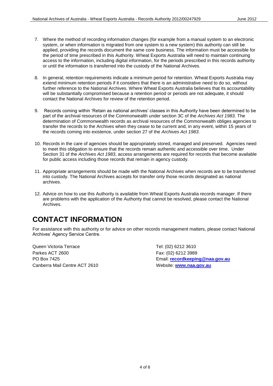- 7. Where the method of recording information changes (for example from a manual system to an electronic system, or when information is migrated from one system to a new system) this authority can still be applied, providing the records document the same core business. The information must be accessible for the period of time prescribed in this Authority. Wheat Exports Australia will need to maintain continuing access to the information, including digital information, for the periods prescribed in this records authority or until the information is transferred into the custody of the National Archives.
- 8. In general, retention requirements indicate a minimum period for retention. Wheat Exports Australia may extend minimum retention periods if it considers that there is an administrative need to do so, without further reference to the National Archives. Where Wheat Exports Australia believes that its accountability will be substantially compromised because a retention period or periods are not adequate, it should contact the National Archives for review of the retention period.
- 9. Records coming within 'Retain as national archives' classes in this Authority have been determined to be part of the archival resources of the Commonwealth under section 3C of the *Archives Act 1983*. The determination of Commonwealth records as archival resources of the Commonwealth obliges agencies to transfer the records to the Archives when they cease to be current and, in any event, within 15 years of the records coming into existence, under section 27 of the *Archives Act 1983*.
- 10. Records in the care of agencies should be appropriately stored, managed and preserved. Agencies need to meet this obligation to ensure that the records remain authentic and accessible over time. Under Section 31 of the *Archives Act 1983*, access arrangements are required for records that become available for public access including those records that remain in agency custody.
- 11. Appropriate arrangements should be made with the National Archives when records are to be transferred into custody. The National Archives accepts for transfer only those records designated as national archives.
- 12. Advice on how to use this Authority is available from Wheat Exports Australia records manager. If there are problems with the application of the Authority that cannot be resolved, please contact the National **Archives**

#### **CONTACT INFORMATION**

For assistance with this authority or for advice on other records management matters, please contact National Archives' Agency Service Centre.

Queen Victoria Terrace Tel: (02) 6212 3610 Parkes ACT 2600 Fax: (02) 6212 3989 Canberra Mail Centre ACT 2610 Website: **[www.naa.gov.au](http://www.naa.gov.au/)**

PO Box 7425 Email: **[recordkeeping@naa.gov.au](mailto:recordkeeping@naa.gov.au)**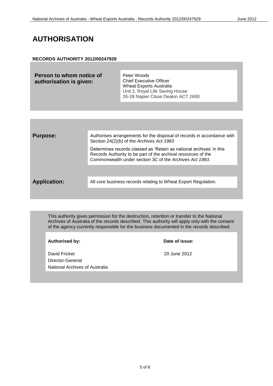#### **AUTHORISATION**

#### **RECORDS AUTHORITY 2012/00247929**

| Person to whom notice of<br>authorisation is given: | Peter Woods<br><b>Chief Executive Officer</b><br>Wheat Exports Australia<br>Unit 2, Royal Life Saving House |
|-----------------------------------------------------|-------------------------------------------------------------------------------------------------------------|
|                                                     | 26-28 Napier Close Deakin ACT 2600                                                                          |

| <b>Purpose:</b>     | Authorises arrangements for the disposal of records in accordance with<br>Section 24(2)(b) of the Archives Act 1983                                                                             |
|---------------------|-------------------------------------------------------------------------------------------------------------------------------------------------------------------------------------------------|
|                     | Determines records classed as 'Retain as national archives' in this<br>Records Authority to be part of the archival resources of the<br>Commonwealth under section 3C of the Archives Act 1983. |
|                     |                                                                                                                                                                                                 |
| <b>Application:</b> | All core business records relating to Wheat Export Regulation.                                                                                                                                  |
|                     |                                                                                                                                                                                                 |

This authority gives permission for the destruction, retention or transfer to the National Archives of Australia of the records described. This authority will apply only with the consent of the agency currently responsible for the business documented in the records described.

David Fricker 2012 Director-General National Archives of Australia

**Authorised by: Date of issue:**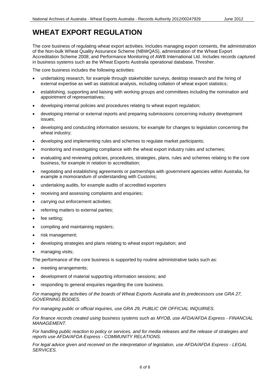### **WHEAT EXPORT REGULATION**

The core business of regulating wheat export activities. Includes managing export consents, the administration of the Non-bulk Wheat Quality Assurance Scheme (NBWQAS), administration of the Wheat Export Accreditation Scheme 2008; and Performance Monitoring of AWB International Ltd. Includes records captured in business systems such as the Wheat Exports Australia operational database, Thresher.

The core business includes the following activities:

- undertaking research, for example through stakeholder surveys, desktop research and the hiring of external expertise as well as statistical analysis, including collation of wheat export statistics;
- establishing, supporting and liaising with working groups and committees including the nomination and appointment of representatives;
- developing internal policies and procedures relating to wheat export regulation;
- developing internal or external reports and preparing submissions concerning industry development issues;
- developing and conducting information sessions, for example for changes to legislation concerning the wheat industry;
- developing and implementing rules and schemes to regulate market participants;
- monitoring and investigating compliance with the wheat export industry rules and schemes;
- evaluating and reviewing policies, procedures, strategies, plans, rules and schemes relating to the core business, for example in relation to accreditation;
- negotiating and establishing agreements or partnerships with government agencies within Australia, for example a momorandum of understanding with Customs;
- undertaking audits, for example audits of accredited exporters
- receiving and assessing complaints and enquiries;
- carrying out enforcement activities;
- referring matters to external parties;
- fee setting;
- compiling and maintaining registers;
- risk management;
- developing strategies and plans relating to wheat export regulation; and
- managing visits;

The performance of the core business is supported by routine administrative tasks such as:

- meeting arrangements;
- development of material supporting information sessions; and
- responding to general enquiries regarding the core business.

*For managing the activities of the boards of Wheat Exports Australia and its predecessors use GRA 27, GOVERNING BODIES.*

*For managing public or official inquiries, use GRA 29, PUBLIC OR OFFICIAL INQUIRIES.*

*For finance records created using business systems such as MYOB, use AFDA/AFDA Express - FINANCIAL MANAGEMENT.*

*For handling public reaction to policy or services, and for media releases and the release of strategies and reports use AFDA/AFDA Express - COMMUNITY RELATIONS.*

*For legal advice given and received on the interpretation of legislation, use AFDA/AFDA Express - LEGAL SERVICES.*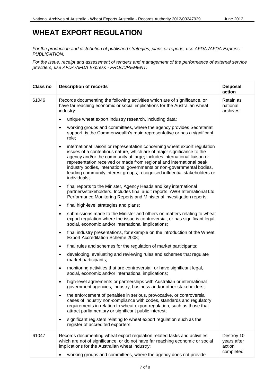#### **WHEAT EXPORT REGULATION**

*For the production and distribution of published strategies, plans or reports, use AFDA /AFDA Express - PUBLICATION.*

*For the issue, receipt and assessment of tenders and management of the performance of external service providers, use AFDA/AFDA Express - PROCUREMENT.*

| Class no | <b>Description of records</b>                                                                                                                                                                                                                                                                                                                                                                                                                                                               | <b>Disposal</b><br>action                        |
|----------|---------------------------------------------------------------------------------------------------------------------------------------------------------------------------------------------------------------------------------------------------------------------------------------------------------------------------------------------------------------------------------------------------------------------------------------------------------------------------------------------|--------------------------------------------------|
| 61046    | Records documenting the following activities which are of significance, or<br>have far reaching economic or social implications for the Australian wheat<br>industry:                                                                                                                                                                                                                                                                                                                       | Retain as<br>national<br>archives                |
|          | unique wheat export industry research, including data;<br>٠                                                                                                                                                                                                                                                                                                                                                                                                                                 |                                                  |
|          | working groups and committees, where the agency provides Secretariat<br>$\bullet$<br>support, is the Commonwealth's main representative or has a significant<br>role;                                                                                                                                                                                                                                                                                                                       |                                                  |
|          | international liaison or representation concerning wheat export regulation<br>$\bullet$<br>issues of a contentious nature, which are of major significance to the<br>agency and/or the community at large; includes international liaison or<br>representation received or made from regional and international peak<br>industry bodies, international governments or non-governmental bodies,<br>leading community interest groups, recognised influential stakeholders or<br>individuals; |                                                  |
|          | final reports to the Minister, Agency Heads and key international<br>$\bullet$<br>partners/stakeholders. Includes final audit reports, AWB International Ltd<br>Performance Monitoring Reports and Ministerial investigation reports;                                                                                                                                                                                                                                                       |                                                  |
|          | final high-level strategies and plans;<br>$\bullet$                                                                                                                                                                                                                                                                                                                                                                                                                                         |                                                  |
|          | submissions made to the Minister and others on matters relating to wheat<br>export regulation where the issue is controversial, or has significant legal,<br>social, economic and/or international implications;                                                                                                                                                                                                                                                                            |                                                  |
|          | final industry presentations, for example on the introduction of the Wheat<br>$\bullet$<br>Export Accreditation Scheme 2008;                                                                                                                                                                                                                                                                                                                                                                |                                                  |
|          | final rules and schemes for the regulation of market participants;<br>$\bullet$                                                                                                                                                                                                                                                                                                                                                                                                             |                                                  |
|          | developing, evaluating and reviewing rules and schemes that regulate<br>$\bullet$<br>market participants;                                                                                                                                                                                                                                                                                                                                                                                   |                                                  |
|          | monitoring activities that are controversial, or have significant legal,<br>$\bullet$<br>social, economic and/or international implications;                                                                                                                                                                                                                                                                                                                                                |                                                  |
|          | high-level agreements or partnerships with Australian or international<br>$\bullet$<br>government agencies, industry, business and/or other stakeholders;                                                                                                                                                                                                                                                                                                                                   |                                                  |
|          | the enforcement of penalties in serious, provocative, or controversial<br>$\bullet$<br>cases of industry non-compliance with codes, standards and regulatory<br>requirements in relation to wheat export regulation, such as those that<br>attract parliamentary or significant public interest;                                                                                                                                                                                            |                                                  |
|          | significant registers relating to wheat export regulation such as the<br>register of accredited exporters.                                                                                                                                                                                                                                                                                                                                                                                  |                                                  |
| 61047    | Records documenting wheat export regulation related tasks and activities<br>which are not of significance, or do not have far reaching economic or social<br>implications for the Australian wheat industry:                                                                                                                                                                                                                                                                                | Destroy 10<br>years after<br>action<br>completed |
|          | working groups and committees, where the agency does not provide                                                                                                                                                                                                                                                                                                                                                                                                                            |                                                  |